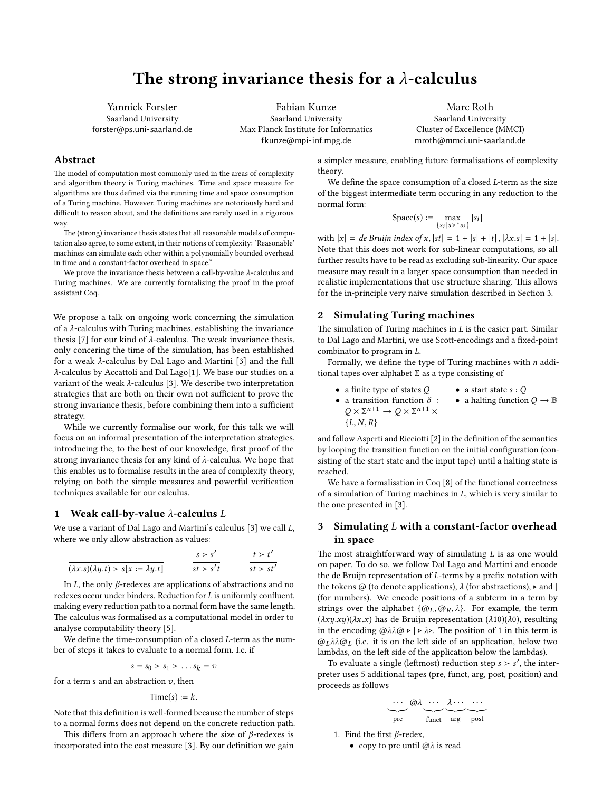# The strong invariance thesis for a  $\lambda$ -calculus

Yannick Forster Saarland University forster@ps.uni-saarland.de

Fabian Kunze Saarland University Max Planck Institute for Informatics fkunze@mpi-inf.mpg.de

Marc Roth Saarland University Cluster of Excellence (MMCI) mroth@mmci.uni-saarland.de

# Abstract

The model of computation most commonly used in the areas of complexity and algorithm theory is Turing machines. Time and space measure for algorithms are thus defined via the running time and space consumption of a Turing machine. However, Turing machines are notoriously hard and difficult to reason about, and the definitions are rarely used in a rigorous way.

The (strong) invariance thesis states that all reasonable models of computation also agree, to some extent, in their notions of complexity: 'Reasonable' machines can simulate each other within a polynomially bounded overhead in time and a constant-factor overhead in space."

We prove the invariance thesis between a call-by-value  $\lambda$ -calculus and Turing machines. We are currently formalising the proof in the proof assistant Coq.

We propose a talk on ongoing work concerning the simulation of a λ-calculus with Turing machines, establishing the invariance thesis [\[7\]](#page-1-0) for our kind of  $λ$ -calculus. The weak invariance thesis, only concering the time of the simulation, has been established for a weak λ-calculus by Dal Lago and Martini [\[3\]](#page-1-1) and the full λ-calculus by Accattoli and Dal Lago[\[1\]](#page-1-2). We base our studies on a variant of the weak λ-calculus [\[3\]](#page-1-1). We describe two interpretation strategies that are both on their own not sufficient to prove the strong invariance thesis, before combining them into a sufficient strategy.

While we currently formalise our work, for this talk we will focus on an informal presentation of the interpretation strategies, introducing the, to the best of our knowledge, first proof of the strong invariance thesis for any kind of  $\lambda$ -calculus. We hope that this enables us to formalise results in the area of complexity theory, relying on both the simple measures and powerful verification techniques available for our calculus.

#### 1 Weak call-by-value  $\lambda$ -calculus  $L$

We use a variant of Dal Lago and Martini's calculus [\[3\]](#page-1-1) we call L, where we only allow abstraction as values:

$$
\frac{s > s'}{(\lambda x. s)(\lambda y. t) > s[x := \lambda y. t]}
$$
\n
$$
\frac{s > s'}{st > s't}
$$
\n
$$
\frac{t > t'}{st > st'}
$$

In *L*, the only *β*-redexes are applications of abstractions and no redexes occur under binders. Reduction for  $L$  is uniformly confluent, making every reduction path to a normal form have the same length. The calculus was formalised as a computational model in order to analyse computability theory [\[5\]](#page-1-3).

We define the time-consumption of a closed  $L$ -term as the number of steps it takes to evaluate to a normal form. I.e. if

$$
s = s_0 > s_1 > \dots s_k = v
$$

for a term  $s$  and an abstraction  $v$ , then

$$
Time(s) := k.
$$

Note that this definition is well-formed because the number of steps to a normal forms does not depend on the concrete reduction path.

This differs from an approach where the size of  $\beta$ -redexes is incorporated into the cost measure [\[3\]](#page-1-1). By our definition we gain a simpler measure, enabling future formalisations of complexity theory.

We define the space consumption of a closed  $L$ -term as the size of the biggest intermediate term occuring in any reduction to the normal form:

$$
Space(s) := \max_{\{s_i \mid s >^* s_i\}} |s_i|
$$

with  $|x| = de Bruijn index of x, |st| = 1 + |s| + |t|, |\lambda x.s| = 1 + |s|.$ Note that this does not work for sub-linear computations, so all further results have to be read as excluding sub-linearity. Our space measure may result in a larger space consumption than needed in realistic implementations that use structure sharing. This allows for the in-principle very naive simulation described in Section [3.](#page-0-0)

## 2 Simulating Turing machines

The simulation of Turing machines in  $L$  is the easier part. Similar to Dal Lago and Martini, we use Scott-encodings and a fixed-point combinator to program in L.

Formally, we define the type of Turing machines with  $n$  additional tapes over alphabet  $\Sigma$  as a type consisting of

• a finite type of states  $Q$  $\bullet\,$  a transition function  $\delta\,$  :  $Q \times \Sigma^{n+1} \to Q \times \Sigma^{n+1} \times$  ${L, N, R}$ • a start state  $s:Q$ • a halting function  $Q \to \mathbb{B}$ 

and follow Asperti and Ricciotti [\[2\]](#page-1-4) in the definition of the semantics by looping the transition function on the initial configuration (consisting of the start state and the input tape) until a halting state is reached.

We have a formalisation in Coq [\[8\]](#page-1-5) of the functional correctness of a simulation of Turing machines in L, which is very similar to the one presented in [\[3\]](#page-1-1).

## <span id="page-0-0"></span>3 Simulating L with a constant-factor overhead in space

The most straightforward way of simulating  $L$  is as one would on paper. To do so, we follow Dal Lago and Martini and encode the de Bruijn representation of  $L$ -terms by a prefix notation with the tokens  $\omega$  (to denote applications),  $\lambda$  (for abstractions),  $\triangleright$  and | (for numbers). We encode positions of a subterm in a term by strings over the alphabet  $\{\omega_L, \omega_R, \lambda\}$ . For example, the term  $(\lambda xy.xy)(\lambda x.x)$  has de Bruijn representation  $(\lambda 10)(\lambda 0)$ , resulting in the encoding  $\omega \lambda \lambda \omega \rightarrow |\rightarrow \lambda \rangle$ . The position of 1 in this term is  $\omega_L \lambda \lambda \omega_L$  (i.e. it is on the left side of an application, below two lambdas, on the left side of the application below the lambdas).

To evaluate a single (leftmost) reduction step  $s > s'$ , the interpreter uses 5 additional tapes (pre, funct, arg, post, position) and proceeds as follows

$$
\underbrace{\cdots}_{\text{pre}} \underbrace{\text{d} \lambda \; \cdots \; \lambda \cdots \; \cdots}_{\text{funct} \text{arg}} \\ \underbrace{\hspace{15mm}}_{\text{post}}
$$

1. Find the first  $\beta$ -redex,

• copy to pre until  $@ \lambda$  is read